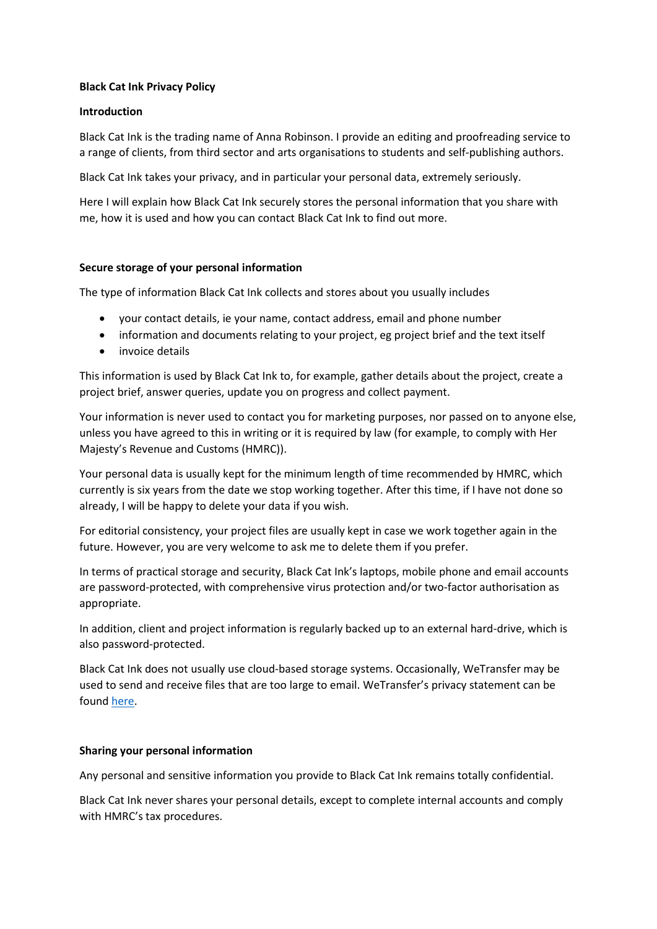# **Black Cat Ink Privacy Policy**

# **Introduction**

Black Cat Ink is the trading name of Anna Robinson. I provide an editing and proofreading service to a range of clients, from third sector and arts organisations to students and self-publishing authors.

Black Cat Ink takes your privacy, and in particular your personal data, extremely seriously.

Here I will explain how Black Cat Ink securely stores the personal information that you share with me, how it is used and how you can contact Black Cat Ink to find out more.

# **Secure storage of your personal information**

The type of information Black Cat Ink collects and stores about you usually includes

- your contact details, ie your name, contact address, email and phone number
- information and documents relating to your project, eg project brief and the text itself
- invoice details

This information is used by Black Cat Ink to, for example, gather details about the project, create a project brief, answer queries, update you on progress and collect payment.

Your information is never used to contact you for marketing purposes, nor passed on to anyone else, unless you have agreed to this in writing or it is required by law (for example, to comply with Her Majesty's Revenue and Customs (HMRC)).

Your personal data is usually kept for the minimum length of time recommended by HMRC, which currently is six years from the date we stop working together. After this time, if I have not done so already, I will be happy to delete your data if you wish.

For editorial consistency, your project files are usually kept in case we work together again in the future. However, you are very welcome to ask me to delete them if you prefer.

In terms of practical storage and security, Black Cat Ink's laptops, mobile phone and email accounts are password-protected, with comprehensive virus protection and/or two-factor authorisation as appropriate.

In addition, client and project information is regularly backed up to an external hard-drive, which is also password-protected.

Black Cat Ink does not usually use cloud-based storage systems. Occasionally, WeTransfer may be used to send and receive files that are too large to email. WeTransfer's privacy statement can be found [here.](https://wetransfer.com/legal/privacy)

#### **Sharing your personal information**

Any personal and sensitive information you provide to Black Cat Ink remains totally confidential.

Black Cat Ink never shares your personal details, except to complete internal accounts and comply with HMRC's tax procedures.